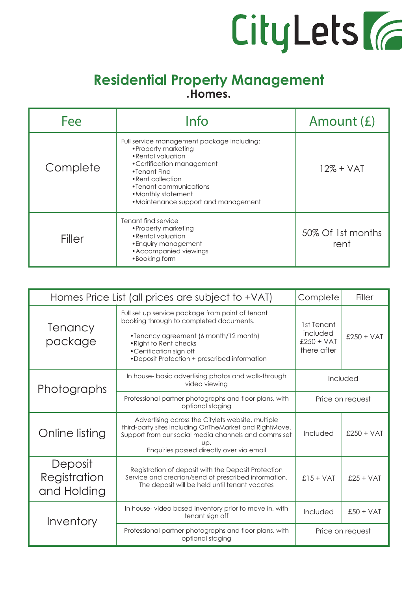## CityLets (6

## **Residential Property Management Homes**

| Fee           | Info                                                                                                                                                                                                                                                  | Amount $(E)$ |
|---------------|-------------------------------------------------------------------------------------------------------------------------------------------------------------------------------------------------------------------------------------------------------|--------------|
| Complete      | Full service management package including:<br>• Property marketing<br>• Rental valuation<br>• Certification management<br>•Tenant Find<br>• Rent collection<br>• Tenant communications<br>• Monthly statement<br>• Maintenance support and management | $12% + VAT$  |
| <b>Filler</b> | Tenant find service<br>• Property marketing<br>50% Of 1st months<br>• Rental valuation<br>rent<br>• Enquiry management<br>• Accompanied viewings<br>• Booking form                                                                                    |              |

| Homes Price List (all prices are subject to +VAT) |                                                                                                                                                                                                                                             | Complete                                              | Filler           |
|---------------------------------------------------|---------------------------------------------------------------------------------------------------------------------------------------------------------------------------------------------------------------------------------------------|-------------------------------------------------------|------------------|
| <b>Tenancy</b><br>package                         | Full set up service package from point of tenant<br>booking through to completed documents.<br>•Tenancy agreement (6 month/12 month)<br>• Right to Rent checks<br>• Certification sign off<br>• Deposit Protection + prescribed information | 1st Tenant<br>included<br>$£250 + VAT$<br>there after | $£250 + VAT$     |
| Photographs                                       | In house- basic advertising photos and walk-through<br>video viewing                                                                                                                                                                        | Included                                              |                  |
|                                                   | Professional partner photographs and floor plans, with<br>optional staging                                                                                                                                                                  | Price on request                                      |                  |
| Online listing                                    | Advertising across the Citylets website, multiple<br>third-party sites including OnTheMarket and RightMove.<br>Support from our social media channels and comms set<br>UD.<br>Enquiries passed directly over via email                      | Included                                              | £250 + $VAT$     |
| Deposit<br>Registration<br>and Holding            | Registration of deposit with the Deposit Protection<br>Service and creation/send of prescribed information.<br>The deposit will be held until tenant vacates                                                                                | $£15 + VAT$                                           | $£25 + VAT$      |
| Inventory                                         | In house-video based inventory prior to move in, with<br>tenant sign off                                                                                                                                                                    | Included                                              | $£50 + VAT$      |
|                                                   | Professional partner photographs and floor plans, with<br>optional staging                                                                                                                                                                  |                                                       | Price on request |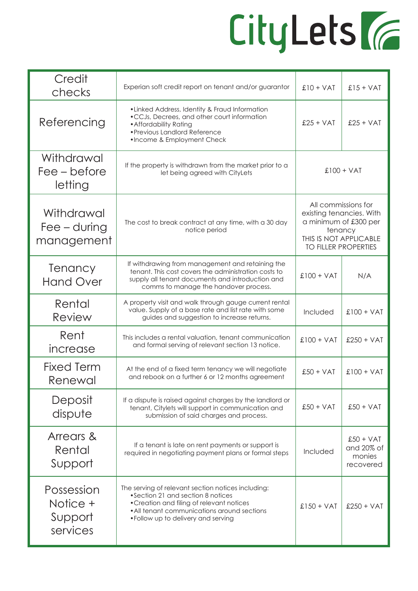## CityLets (6

| Credit<br>checks                              | Experian soft credit report on tenant and/or guarantor                                                                                                                                                                     | $£10 + VAT$                                                                                                                                  | $£15 + VAT$                                      |
|-----------------------------------------------|----------------------------------------------------------------------------------------------------------------------------------------------------------------------------------------------------------------------------|----------------------------------------------------------------------------------------------------------------------------------------------|--------------------------------------------------|
| Referencing                                   | • Linked Address, Identity & Fraud Information<br>.CCJs, Decrees, and other court information<br>• Affordability Rating<br>• Previous Landlord Reference<br>•Income & Employment Check                                     | $£25 + VAT$                                                                                                                                  | $£25 + VAT$                                      |
| Withdrawal<br>Fee – before<br>letting         | If the property is withdrawn from the market prior to a<br>let being agreed with CityLets                                                                                                                                  | $£100 + VAT$                                                                                                                                 |                                                  |
| Withdrawal<br>$Fee$ – during<br>management    | The cost to break contract at any time, with a 30 day<br>notice period                                                                                                                                                     | All commissions for<br>existing tenancies. With<br>a minimum of £300 per<br>tenancy<br>THIS IS NOT APPLICABLE<br><b>TO FILLER PROPERTIES</b> |                                                  |
| <b>Tenancy</b><br><b>Hand Over</b>            | If withdrawing from management and retaining the<br>tenant. This cost covers the administration costs to<br>supply all tenant documents and introduction and<br>comms to manage the handover process.                      | $£100 + VAT$                                                                                                                                 | N/A                                              |
| Rental<br><b>Review</b>                       | A property visit and walk through gauge current rental<br>value. Supply of a base rate and list rate with some<br>guides and suggestion to increase returns.                                                               | Included                                                                                                                                     | $£100 + VAT$                                     |
| Rent<br>increase                              | This includes a rental valuation, tenant communication<br>and formal serving of relevant section 13 notice.                                                                                                                | $£100 + VAT$                                                                                                                                 | $£250 + VAT$                                     |
| <b>Fixed Term</b><br>Renewal                  | At the end of a fixed term tenancy we will negotiate<br>and rebook on a further 6 or 12 months agreement                                                                                                                   | $£50 + VAT$                                                                                                                                  | $£100 + VAT$                                     |
| Deposit<br>dispute                            | If a dispute is raised against charges by the landlord or<br>tenant, Citylets will support in communication and<br>submission of said charges and process.                                                                 | $£50 + VAT$                                                                                                                                  | $£50 + VAT$                                      |
| Arrears &<br>Rental<br>Support                | If a tenant is late on rent payments or support is<br>required in negotiating payment plans or formal steps                                                                                                                |                                                                                                                                              | $£50 + VAT$<br>and 20% of<br>monies<br>recovered |
| Possession<br>Notice +<br>Support<br>services | The serving of relevant section notices including:<br>•Section 21 and section 8 notices<br>• Creation and filing of relevant notices<br>• All tenant communications around sections<br>• Follow up to delivery and serving | $£150 + VAT$                                                                                                                                 | $£250 + VAT$                                     |